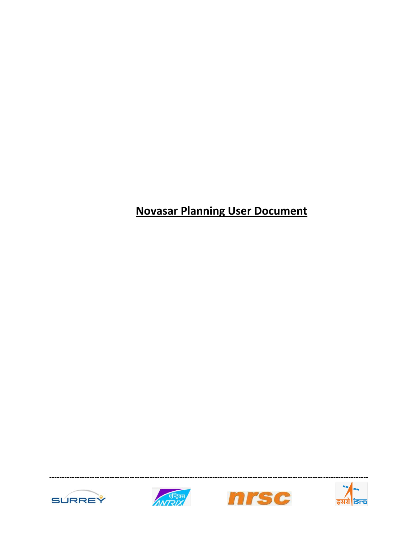# **Novasar Planning User Document**







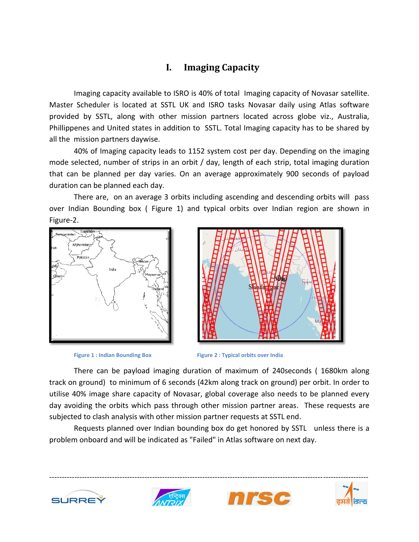### **I. Imaging Capacity**

Imaging capacity available to ISRO is 40% of total Imaging capacity of Novasar satellite. Master Scheduler is located at SSTL UK and ISRO tasks Novasar daily using Atlas software provided by SSTL, along with other mission partners located across globe viz., Australia, Phillippenes and United states in addition to SSTL. Total Imaging capacity has to be shared by all the mission partners daywise.

40% of Imaging capacity leads to 1152 system cost per day. Depending on the imaging mode selected, number of strips in an orbit / day, length of each strip, total imaging duration that can be planned per day varies. On an average approximately 900 seconds of payload duration can be planned each day.

There are, on an average 3 orbits including ascending and descending orbits will pass over Indian Bounding box ( [Figure 1\)](#page-1-0) and typical orbits over Indian region are shown in Figure-2.







**Figure 1 : Indian Bounding Box Figure 2 : Typical orbits over India**

<span id="page-1-0"></span>There can be payload imaging duration of maximum of 240seconds ( 1680km along track on ground) to minimum of 6 seconds (42km along track on ground) per orbit. In order to utilise 40% image share capacity of Novasar, global coverage also needs to be planned every day avoiding the orbits which pass through other mission partner areas. These requests are subjected to clash analysis with other mission partner requests at SSTL end.

Requests planned over Indian bounding box do get honored by SSTL unless there is a problem onboard and will be indicated as "Failed" in Atlas software on next day.







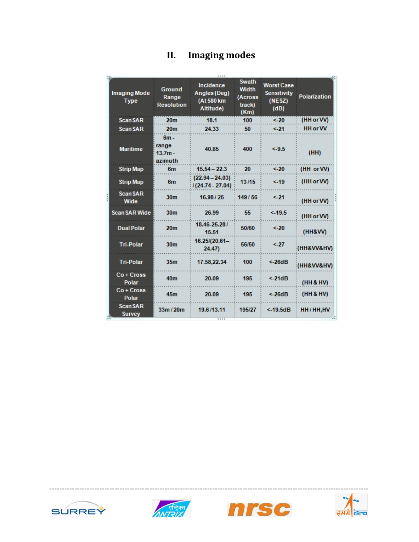| II. | <b>Imaging modes</b> |
|-----|----------------------|
|-----|----------------------|

| <b>Imaging Mode</b><br><b>Type</b> | <b>Ground</b><br>Range<br><b>Resolution</b> | <b>Incidence</b><br><b>Angles (Deg)</b><br>(At 580 km<br>Altitude) | <b>Swath</b><br><b>Width</b><br>(Across<br>track)<br>(Km) | <b>Worst Case</b><br><b>Sensitivity</b><br>(NESZ)<br>(dB) | <b>Polarization</b> |  |  |
|------------------------------------|---------------------------------------------|--------------------------------------------------------------------|-----------------------------------------------------------|-----------------------------------------------------------|---------------------|--|--|
| <b>ScanSAR</b>                     | 20 <sub>m</sub>                             | 18.1                                                               | 100                                                       | &520                                                      | (HH or W)           |  |  |
| <b>ScanSAR</b>                     | 20 <sub>m</sub>                             | 24.33                                                              | 50                                                        | $-21$                                                     | <b>HH or W</b>      |  |  |
| <b>Maritime</b>                    | $6m -$<br>range<br>$13.7m -$<br>azimuth     | 40.85                                                              | 400                                                       | $-9.5$                                                    | (HH)                |  |  |
| <b>Strip Map</b>                   | 6 <sub>m</sub>                              | $15.54 - 22.3$                                                     | 20                                                        | < 20                                                      | (HH or W)           |  |  |
| <b>Strip Map</b>                   | 6 <sub>m</sub>                              | $(22.94 - 24.03)$<br>$1(24.74 - 27.04)$                            | 13/15                                                     | < 19                                                      | (HH or VV)          |  |  |
| <b>ScanSAR</b><br>Wide             | 30 <sub>m</sub>                             | 16.98 / 25                                                         | 149/56                                                    | $21$                                                      | (HH or W)           |  |  |
| <b>Scan SAR Wide</b>               | 30 <sub>m</sub>                             | 26.99                                                              | 55                                                        | $<$ -19.5                                                 | (HH or VV)          |  |  |
| <b>Dual Polar</b>                  | 20 <sub>m</sub>                             | 18.46-25.28/<br>15.51                                              | 50/60                                                     | < 20                                                      | (HH&W)              |  |  |
| <b>Tri-Polar</b>                   | 30 <sub>m</sub>                             | 16.25/(20.61-<br>24.47                                             | 56/50                                                     | < 27                                                      | (HH8VV8HV)          |  |  |
| <b>Tri-Polar</b>                   | 35 <sub>m</sub>                             | 17.58,22.34                                                        | 100                                                       | < 26dB                                                    | (HH&VV&HV)          |  |  |
| Co + Cross<br><b>Polar</b>         | 40 <sub>m</sub>                             | 20.09                                                              | 195                                                       | < 21dB                                                    | (HH & HV)           |  |  |
| Co+Cross<br><b>Polar</b>           | 45 <sub>m</sub>                             | 20.09                                                              | 195                                                       | < 26dB                                                    | (HH 8 HV)           |  |  |
| <b>ScanSAR</b><br><b>Survey</b>    | 33m/20m                                     | 19.6/13.11<br>                                                     | 195/27                                                    | $<$ -19.5dB                                               | HH/HH, HV           |  |  |







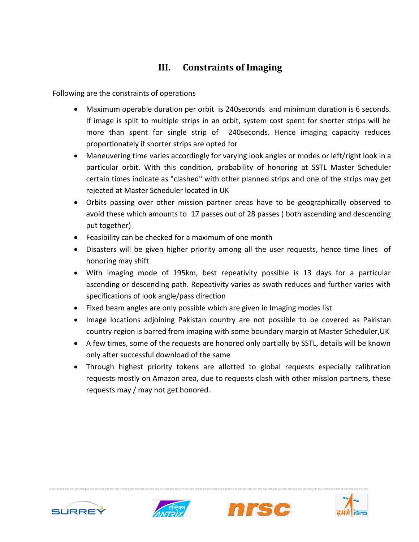# **III. Constraints of Imaging**

Following are the constraints of operations

- Maximum operable duration per orbit is 240seconds and minimum duration is 6 seconds. If image is split to multiple strips in an orbit, system cost spent for shorter strips will be more than spent for single strip of 240seconds. Hence imaging capacity reduces proportionately if shorter strips are opted for
- Maneuvering time varies accordingly for varying look angles or modes or left/right look in a particular orbit. With this condition, probability of honoring at SSTL Master Scheduler certain times indicate as "clashed" with other planned strips and one of the strips may get rejected at Master Scheduler located in UK
- Orbits passing over other mission partner areas have to be geographically observed to avoid these which amounts to 17 passes out of 28 passes ( both ascending and descending put together)
- Feasibility can be checked for a maximum of one month
- Disasters will be given higher priority among all the user requests, hence time lines of honoring may shift
- With imaging mode of 195km, best repeativity possible is 13 days for a particular ascending or descending path. Repeativity varies as swath reduces and further varies with specifications of look angle/pass direction
- Fixed beam angles are only possible which are given in Imaging modes list
- Image locations adjoining Pakistan country are not possible to be covered as Pakistan country region is barred from imaging with some boundary margin at Master Scheduler,UK
- A few times, some of the requests are honored only partially by SSTL, details will be known only after successful download of the same
- Through highest priority tokens are allotted to global requests especially calibration requests mostly on Amazon area, due to requests clash with other mission partners, these requests may / may not get honored.







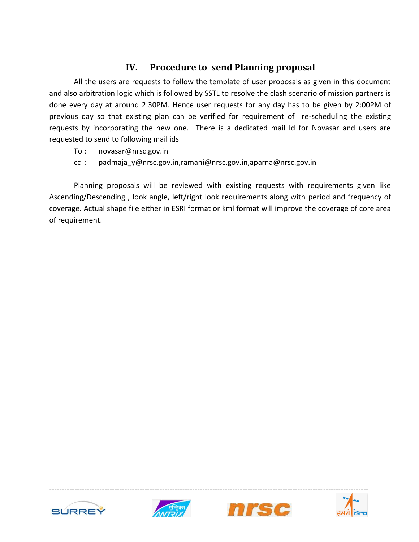## **IV. Procedure to send Planning proposal**

All the users are requests to follow the template of user proposals as given in this document and also arbitration logic which is followed by SSTL to resolve the clash scenario of mission partners is done every day at around 2.30PM. Hence user requests for any day has to be given by 2:00PM of previous day so that existing plan can be verified for requirement of re-scheduling the existing requests by incorporating the new one. There is a dedicated mail Id for Novasar and users are requested to send to following mail ids

- To : novasar@nrsc.gov.in
- cc : padmaja\_y@nrsc.gov.in,ramani@nrsc.gov.in,aparna@nrsc.gov.in

Planning proposals will be reviewed with existing requests with requirements given like Ascending/Descending , look angle, left/right look requirements along with period and frequency of coverage. Actual shape file either in ESRI format or kml format will improve the coverage of core area of requirement.







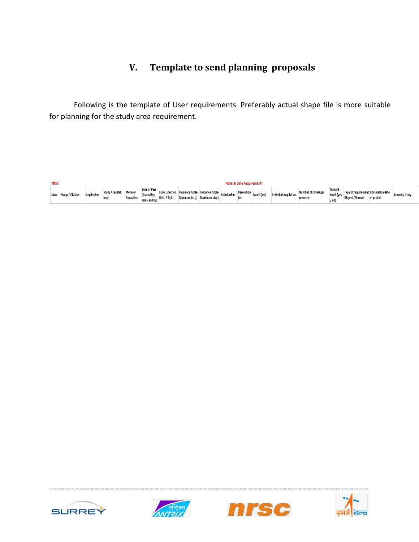# **V. Template to send planning proposals**

Following is the template of User requirements. Preferably actual shape file is more suitable for planning for the study area requirement.

| <b>NRSC</b><br>Novasar Data Requirement |                       |                    |                                  |                   |                                                          |                |                                                                                            |  |  |  |                               |                              |                                 |                      |                                     |            |                 |
|-----------------------------------------|-----------------------|--------------------|----------------------------------|-------------------|----------------------------------------------------------|----------------|--------------------------------------------------------------------------------------------|--|--|--|-------------------------------|------------------------------|---------------------------------|----------------------|-------------------------------------|------------|-----------------|
|                                         | S.No Group / Division | <b>Application</b> | Study Area (lat, Mode of<br>long | <b>Acqusition</b> | <b>Type of Pass</b><br><b>(Ascending</b><br>/Descending) | (left / Right) | Look Direction Incidence Angle-Incidence Angle-Polarisation<br>Minimum (deg) Maximum (deg) |  |  |  | Resolution Swath (km) Penows. | <b>Period of Acquisition</b> | Number of coverages<br>required | Ground<br>truth (ves | Type of requirement Completion date | of project | Remarks, if any |







-------------------------------------------------------------------------------------------------------------------------------